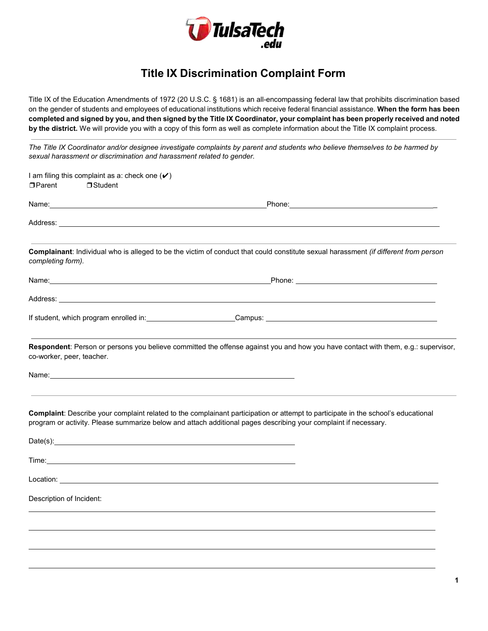

## **Title IX Discrimination Complaint Form**

Title IX of the Education Amendments of 1972 (20 U.S.C. § 1681) is an all-encompassing federal law that prohibits discrimination based on the gender of students and employees of educational institutions which receive federal financial assistance. **When the form has been completed and signed by you, and then signed by the Title IX Coordinator, your complaint has been properly received and noted by the district.** We will provide you with a copy of this form as well as complete information about the Title IX complaint process.

*The Title IX Coordinator and/or designee investigate complaints by parent and students who believe themselves to be harmed by sexual harassment or discrimination and harassment related to gender.*

| I am filing this complaint as a: check one $(\checkmark)$                                                                                                                                                                                                  |                                                                                                                                                                                                                                                      |
|------------------------------------------------------------------------------------------------------------------------------------------------------------------------------------------------------------------------------------------------------------|------------------------------------------------------------------------------------------------------------------------------------------------------------------------------------------------------------------------------------------------------|
| □ Parent<br>$\Box$ Student                                                                                                                                                                                                                                 |                                                                                                                                                                                                                                                      |
|                                                                                                                                                                                                                                                            |                                                                                                                                                                                                                                                      |
| Address: No. 2006. The Contract of the Contract of the Contract of the Contract of the Contract of the Contract of the Contract of the Contract of the Contract of the Contract of the Contract of the Contract of the Contrac                             |                                                                                                                                                                                                                                                      |
| completing form).                                                                                                                                                                                                                                          | Complainant: Individual who is alleged to be the victim of conduct that could constitute sexual harassment (if different from person                                                                                                                 |
|                                                                                                                                                                                                                                                            |                                                                                                                                                                                                                                                      |
| Address: Address: Address and Address and Address and Address and Address and Address and Address and Address and Address and Address and Address and Address and Address and Address and Address and Address and Address and                              |                                                                                                                                                                                                                                                      |
|                                                                                                                                                                                                                                                            |                                                                                                                                                                                                                                                      |
| co-worker, peer, teacher.<br>Name: Name: Name: Name: Name: Name: Name: Name: Name: Name: Name: Name: Name: Name: Name: Name: Name: Name: Name: Name: Name: Name: Name: Name: Name: Name: Name: Name: Name: Name: Name: Name: Name: Name: Name: Name: Name: | Respondent: Person or persons you believe committed the offense against you and how you have contact with them, e.g.: supervisor,                                                                                                                    |
|                                                                                                                                                                                                                                                            | Complaint: Describe your complaint related to the complainant participation or attempt to participate in the school's educational<br>program or activity. Please summarize below and attach additional pages describing your complaint if necessary. |
| Date(s): example and the set of the set of the set of the set of the set of the set of the set of the set of the set of the set of the set of the set of the set of the set of the set of the set of the set of the set of the                             |                                                                                                                                                                                                                                                      |
|                                                                                                                                                                                                                                                            |                                                                                                                                                                                                                                                      |
|                                                                                                                                                                                                                                                            |                                                                                                                                                                                                                                                      |
| Description of Incident:                                                                                                                                                                                                                                   |                                                                                                                                                                                                                                                      |
|                                                                                                                                                                                                                                                            |                                                                                                                                                                                                                                                      |
|                                                                                                                                                                                                                                                            |                                                                                                                                                                                                                                                      |
|                                                                                                                                                                                                                                                            |                                                                                                                                                                                                                                                      |
|                                                                                                                                                                                                                                                            |                                                                                                                                                                                                                                                      |